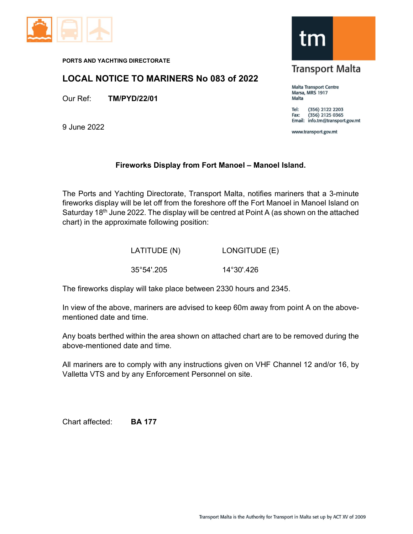

PORTS AND YACHTING DIRECTORATE

## LOCAL NOTICE TO MARINERS No 083 of 2022

Our Ref: TM/PYD/22/01

9 June 2022



## **Transport Malta**

**Malta Transport Centre** Marsa, MRS 1917 Malta

(356) 2122 2203 Tel: (356) 2125 0365 Fax: Email: info.tm@transport.gov.mt

www.transport.gov.mt

## Fireworks Display from Fort Manoel – Manoel Island.

The Ports and Yachting Directorate, Transport Malta, notifies mariners that a 3-minute fireworks display will be let off from the foreshore off the Fort Manoel in Manoel Island on Saturday 18<sup>th</sup> June 2022. The display will be centred at Point A (as shown on the attached chart) in the approximate following position:

| LATITUDE (N)         | LONGITUDE (E) |
|----------------------|---------------|
| $35^{\circ}54'$ .205 | 14°30'.426    |

The fireworks display will take place between 2330 hours and 2345.

In view of the above, mariners are advised to keep 60m away from point A on the abovementioned date and time.

Any boats berthed within the area shown on attached chart are to be removed during the above-mentioned date and time.

All mariners are to comply with any instructions given on VHF Channel 12 and/or 16, by Valletta VTS and by any Enforcement Personnel on site.

Chart affected: BA 177